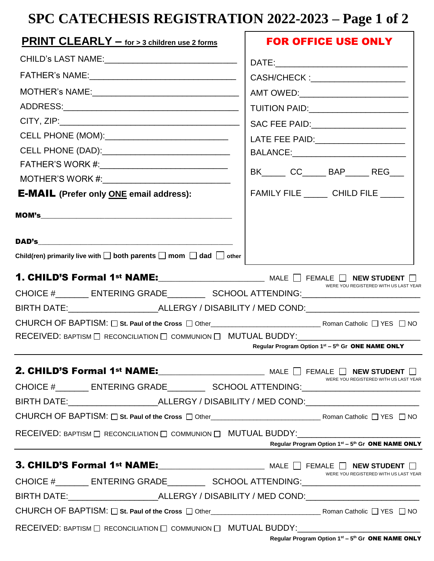# **SPC CATECHESIS REGISTRATION 2022-2023 – Page 1 of 2**

| <b>PRINT CLEARLY - for &gt; 3 children use 2 forms</b>                                                        | <b>FOR OFFICE USE ONLY</b>                                                    |  |  |
|---------------------------------------------------------------------------------------------------------------|-------------------------------------------------------------------------------|--|--|
| CHILD's LAST NAME:___________________________________                                                         |                                                                               |  |  |
|                                                                                                               |                                                                               |  |  |
|                                                                                                               | AMT OWED:__________________________                                           |  |  |
|                                                                                                               | TUITION PAID:______________________                                           |  |  |
|                                                                                                               | SAC FEE PAID:_____________________                                            |  |  |
| CELL PHONE (MOM):_______________________________                                                              | LATE FEE PAID: _____________________<br>BALANCE:_____________________________ |  |  |
| CELL PHONE (DAD):_______________________________                                                              |                                                                               |  |  |
| FATHER'S WORK #:_________________________________                                                             |                                                                               |  |  |
|                                                                                                               | BK______ CC______ BAP______ REG___                                            |  |  |
| <b>E-MAIL</b> (Prefer only <b>ONE</b> email address):                                                         | FAMILY FILE CHILD FILE                                                        |  |  |
|                                                                                                               |                                                                               |  |  |
| <b>DAD's</b>                                                                                                  |                                                                               |  |  |
| Child(ren) primarily live with $\square$ both parents $\square$ mom $\square$ dad $\square$ other             |                                                                               |  |  |
| <b>1. CHILD'S Formal 1st NAME:</b> $\Box$ MALE $\Box$ FEMALE $\Box$ NEW STUDENT $\Box$                        | WERE YOU REGISTERED WITH US LAST YEAR                                         |  |  |
| CHOICE #_________ ENTERING GRADE____________ SCHOOL ATTENDING:___________________                             |                                                                               |  |  |
| BIRTH DATE:__________________________ALLERGY / DISABILITY / MED COND:______________________________           |                                                                               |  |  |
|                                                                                                               |                                                                               |  |  |
| RECEIVED: BAPTISM $\Box$ RECONCILIATION $\Box$ COMMUNION $\Box$ MUTUAL BUDDY: $\Box$ . The contract of $\Box$ | Regular Program Option 1st - 5th Gr ONE NAME ONLY                             |  |  |
|                                                                                                               |                                                                               |  |  |
| CHOICE #_________ ENTERING GRADE____________ SCHOOL ATTENDING:___________________                             | WERE YOU REGISTERED WITH US LAST YEAR                                         |  |  |
| BIRTH DATE:__________________________ALLERGY / DISABILITY / MED COND:______________________________           |                                                                               |  |  |
|                                                                                                               |                                                                               |  |  |
| RECEIVED: BAPTISM O RECONCILIATION O COMMUNION O MUTUAL BUDDY: __________________                             |                                                                               |  |  |
| <u> 1989 - Johann Stein, fransk politik (</u>                                                                 | Regular Program Option 1st - 5th Gr ONE NAME ONLY                             |  |  |
|                                                                                                               |                                                                               |  |  |
| CHOICE #_________ ENTERING GRADE____________ SCHOOL ATTENDING:___________________                             | WERE YOU REGISTERED WITH US LAST YEAR                                         |  |  |
| BIRTH DATE:___________________________ALLERGY / DISABILITY / MED COND:_____________________________           |                                                                               |  |  |
|                                                                                                               |                                                                               |  |  |
| $RECEIVED:$ BAPTISM $\Box$ RECONCILIATION $\Box$ COMMUNION $\Box$ MUTUAL BUDDY:                               |                                                                               |  |  |
|                                                                                                               | <b>Pequier Program Option 1st - 5th Cr. ONE NAME ONLY</b>                     |  |  |